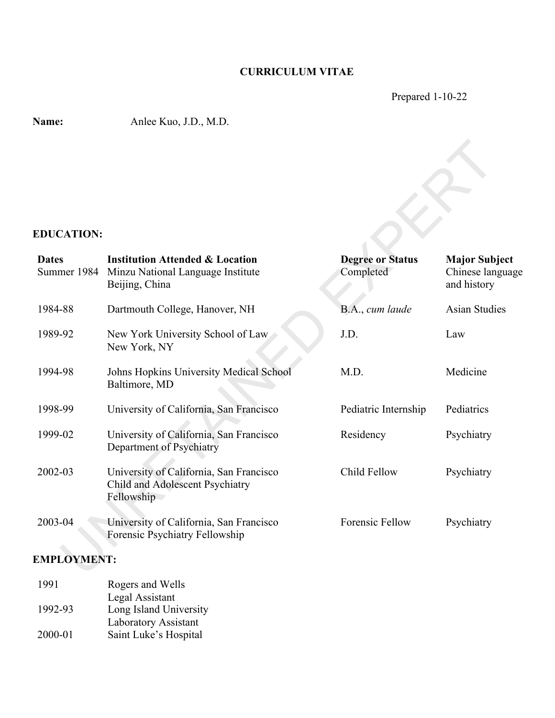## **CURRICULUM VITAE**

Prepared 1-10-22

**Name:** Anlee Kuo, J.D., M.D.

### **EDUCATION:**

| <b>EDUCATION:</b>  |                                                                                                               |                                      |                                                         |
|--------------------|---------------------------------------------------------------------------------------------------------------|--------------------------------------|---------------------------------------------------------|
| <b>Dates</b>       | <b>Institution Attended &amp; Location</b><br>Summer 1984 Minzu National Language Institute<br>Beijing, China | <b>Degree or Status</b><br>Completed | <b>Major Subject</b><br>Chinese language<br>and history |
| 1984-88            | Dartmouth College, Hanover, NH                                                                                | B.A., cum laude                      | <b>Asian Studies</b>                                    |
| 1989-92            | New York University School of Law<br>New York, NY                                                             | J.D.                                 | Law                                                     |
| 1994-98            | Johns Hopkins University Medical School<br>Baltimore, MD                                                      | M.D.                                 | Medicine                                                |
| 1998-99            | University of California, San Francisco                                                                       | Pediatric Internship                 | Pediatrics                                              |
| 1999-02            | University of California, San Francisco<br>Department of Psychiatry                                           | Residency                            | Psychiatry                                              |
| 2002-03            | University of California, San Francisco<br>Child and Adolescent Psychiatry<br>Fellowship                      | Child Fellow                         | Psychiatry                                              |
| 2003-04            | University of California, San Francisco<br>Forensic Psychiatry Fellowship                                     | Forensic Fellow                      | Psychiatry                                              |
| <b>EMPLOYMENT:</b> |                                                                                                               |                                      |                                                         |

### **EMPLOYMENT:**

| 1991    | Rogers and Wells       |
|---------|------------------------|
|         | Legal Assistant        |
| 1992-93 | Long Island University |
|         | Laboratory Assistant   |
| 2000-01 | Saint Luke's Hospital  |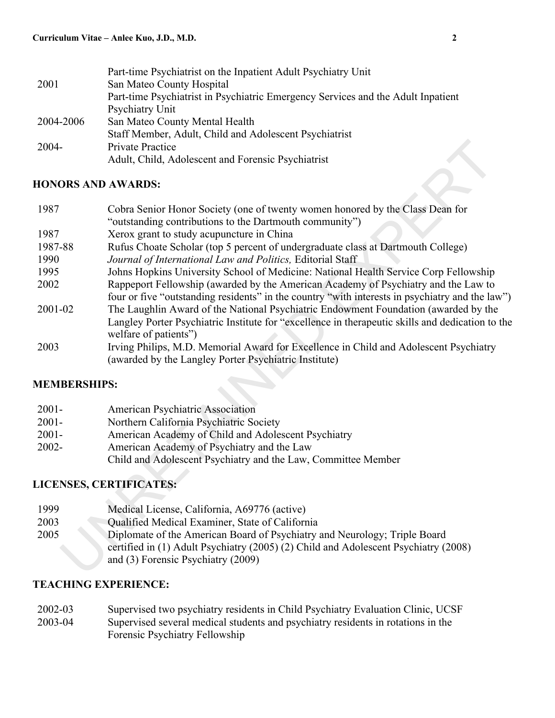|           | Part-time Psychiatrist on the Inpatient Adult Psychiatry Unit                    |
|-----------|----------------------------------------------------------------------------------|
| 2001      | San Mateo County Hospital                                                        |
|           | Part-time Psychiatrist in Psychiatric Emergency Services and the Adult Inpatient |
|           | Psychiatry Unit                                                                  |
| 2004-2006 | San Mateo County Mental Health                                                   |
|           | Staff Member, Adult, Child and Adolescent Psychiatrist                           |
| $2004 -$  | <b>Private Practice</b>                                                          |
|           | Adult, Child, Adolescent and Forensic Psychiatrist                               |

## **HONORS AND AWARDS:**

| 2004-                | Private Practice                                                                                                                                                                                                                                                                                          |
|----------------------|-----------------------------------------------------------------------------------------------------------------------------------------------------------------------------------------------------------------------------------------------------------------------------------------------------------|
|                      | Adult, Child, Adolescent and Forensic Psychiatrist                                                                                                                                                                                                                                                        |
|                      | <b>HONORS AND AWARDS:</b>                                                                                                                                                                                                                                                                                 |
| 1987                 | Cobra Senior Honor Society (one of twenty women honored by the Class Dean for<br>"outstanding contributions to the Dartmouth community")                                                                                                                                                                  |
| 1987                 | Xerox grant to study acupuncture in China                                                                                                                                                                                                                                                                 |
| 1987-88              | Rufus Choate Scholar (top 5 percent of undergraduate class at Dartmouth College)                                                                                                                                                                                                                          |
| 1990                 | Journal of International Law and Politics, Editorial Staff                                                                                                                                                                                                                                                |
| 1995                 | Johns Hopkins University School of Medicine: National Health Service Corp Fellowship                                                                                                                                                                                                                      |
| 2002                 | Rappeport Fellowship (awarded by the American Academy of Psychiatry and the Law to<br>four or five "outstanding residents" in the country "with interests in psychiatry and the law")                                                                                                                     |
| 2001-02              | The Laughlin Award of the National Psychiatric Endowment Foundation (awarded by the<br>Langley Porter Psychiatric Institute for "excellence in therapeutic skills and dedication to the<br>welfare of patients")                                                                                          |
| 2003                 | Irving Philips, M.D. Memorial Award for Excellence in Child and Adolescent Psychiatry<br>(awarded by the Langley Porter Psychiatric Institute)                                                                                                                                                            |
| <b>MEMBERSHIPS:</b>  |                                                                                                                                                                                                                                                                                                           |
| $2001 -$             | American Psychiatric Association                                                                                                                                                                                                                                                                          |
| $2001 -$             | Northern California Psychiatric Society                                                                                                                                                                                                                                                                   |
| $2001 -$             | American Academy of Child and Adolescent Psychiatry                                                                                                                                                                                                                                                       |
| 2002-                | American Academy of Psychiatry and the Law                                                                                                                                                                                                                                                                |
|                      | Child and Adolescent Psychiatry and the Law, Committee Member                                                                                                                                                                                                                                             |
|                      | LICENSES, CERTIFICATES:                                                                                                                                                                                                                                                                                   |
| 1999<br>2003<br>2005 | Medical License, California, A69776 (active)<br>Qualified Medical Examiner, State of California<br>Diplomate of the American Board of Psychiatry and Neurology; Triple Board<br>certified in (1) Adult Psychiatry (2005) (2) Child and Adolescent Psychiatry (2008)<br>and (3) Forensic Psychiatry (2009) |
|                      |                                                                                                                                                                                                                                                                                                           |

### **MEMBERSHIPS:**

| $2001 -$ | <b>American Psychiatric Association</b>                       |
|----------|---------------------------------------------------------------|
| $2001 -$ | Northern California Psychiatric Society                       |
| $2001 -$ | American Academy of Child and Adolescent Psychiatry           |
| $2002 -$ | American Academy of Psychiatry and the Law                    |
|          | Child and Adolescent Psychiatry and the Law, Committee Member |

# **LICENSES, CERTIFICATES:**

| 1999 | Medical License, California, A69776 (active)                                        |
|------|-------------------------------------------------------------------------------------|
| 2003 | Qualified Medical Examiner, State of California                                     |
| 2005 | Diplomate of the American Board of Psychiatry and Neurology; Triple Board           |
|      | certified in (1) Adult Psychiatry (2005) (2) Child and Adolescent Psychiatry (2008) |
|      | and $(3)$ Forensic Psychiatry $(2009)$                                              |

# **TEACHING EXPERIENCE:**

| 2002-03 | Supervised two psychiatry residents in Child Psychiatry Evaluation Clinic, UCSF  |
|---------|----------------------------------------------------------------------------------|
| 2003-04 | Supervised several medical students and psychiatry residents in rotations in the |
|         | Forensic Psychiatry Fellowship                                                   |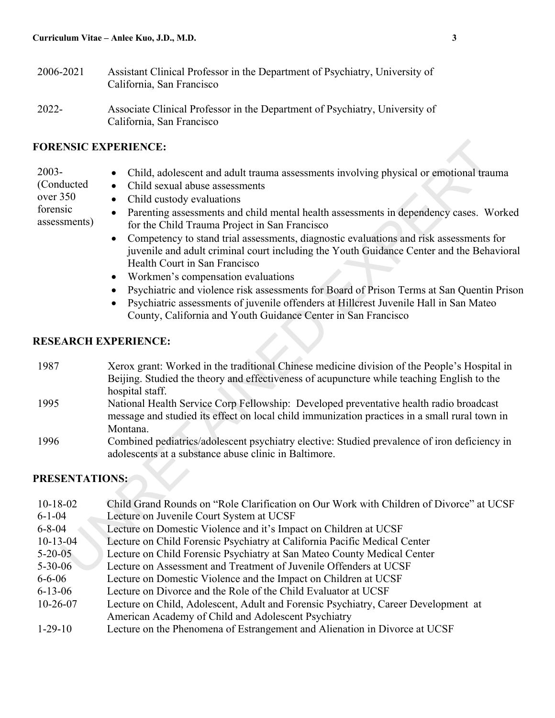- 2006-2021 Assistant Clinical Professor in the Department of Psychiatry, University of California, San Francisco
- 2022- Associate Clinical Professor in the Department of Psychiatry, University of California, San Francisco

#### **FORENSIC EXPERIENCE:**

- 2003-
- Child, adolescent and adult trauma assessments involving physical or emotional trauma
- (Conducted over 350

forensic assessments) • Child custody evaluations

• Child sexual abuse assessments

- Parenting assessments and child mental health assessments in dependency cases. Worked for the Child Trauma Project in San Francisco
	- Competency to stand trial assessments, diagnostic evaluations and risk assessments for juvenile and adult criminal court including the Youth Guidance Center and the Behavioral Health Court in San Francisco
	- Workmen's compensation evaluations
- Psychiatric and violence risk assessments for Board of Prison Terms at San Quentin Prison
- Psychiatric assessments of juvenile offenders at Hillcrest Juvenile Hall in San Mateo County, California and Youth Guidance Center in San Francisco

#### **RESEARCH EXPERIENCE:**

- 1987 Xerox grant: Worked in the traditional Chinese medicine division of the People's Hospital in Beijing. Studied the theory and effectiveness of acupuncture while teaching English to the hospital staff.
- 1995 National Health Service Corp Fellowship: Developed preventative health radio broadcast message and studied its effect on local child immunization practices in a small rural town in Montana.
- 1996 Combined pediatrics/adolescent psychiatry elective: Studied prevalence of iron deficiency in adolescents at a substance abuse clinic in Baltimore.

### **PRESENTATIONS:**

10-18-02 Child Grand Rounds on "Role Clarification on Our Work with Children of Divorce" at UCSF 6-1-04 Lecture on Juvenile Court System at UCSF 6-8-04 Lecture on Domestic Violence and it's Impact on Children at UCSF 10-13-04 Lecture on Child Forensic Psychiatry at California Pacific Medical Center 5-20-05 Lecture on Child Forensic Psychiatry at San Mateo County Medical Center 5-30-06 Lecture on Assessment and Treatment of Juvenile Offenders at UCSF 6-6-06 Lecture on Domestic Violence and the Impact on Children at UCSF 6-13-06 Lecture on Divorce and the Role of the Child Evaluator at UCSF 10-26-07 Lecture on Child, Adolescent, Adult and Forensic Psychiatry, Career Development at American Academy of Child and Adolescent Psychiatry 1-29-10 Lecture on the Phenomena of Estrangement and Alienation in Divorce at UCSF **EXPERIENCE:**<br>
• Child, adolescent and adult trauma assessments involving physical or emotional trau<br>
ducted<br>
• Child exated vealuations<br>
• Child exated vealuations<br>
• The Child Trauma Project in San Francisco<br>
• The Child